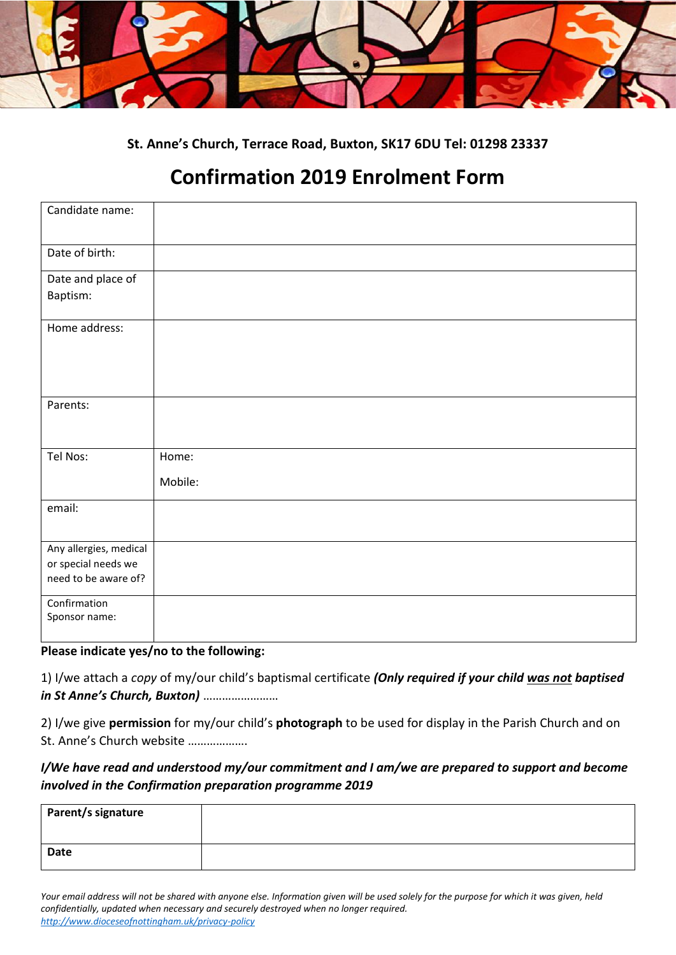

**St. Anne's Church, Terrace Road, Buxton, SK17 6DU Tel: 01298 23337**

## **Confirmation 2019 Enrolment Form**

| Candidate name:                             |         |
|---------------------------------------------|---------|
| Date of birth:                              |         |
| Date and place of                           |         |
| Baptism:                                    |         |
| Home address:                               |         |
| Parents:                                    |         |
| Tel Nos:                                    | Home:   |
|                                             | Mobile: |
| email:                                      |         |
| Any allergies, medical                      |         |
| or special needs we<br>need to be aware of? |         |
|                                             |         |
| Confirmation                                |         |
| Sponsor name:                               |         |
|                                             |         |

**Please indicate yes/no to the following:** 

1) I/we attach a *copy* of my/our child's baptismal certificate *(Only required if your child was not baptised in St Anne's Church, Buxton)* ……………………

2) I/we give **permission** for my/our child's **photograph** to be used for display in the Parish Church and on St. Anne's Church website ……………….

## *I/We have read and understood my/our commitment and I am/we are prepared to support and become involved in the Confirmation preparation programme 2019*

| Parent/s signature |  |
|--------------------|--|
| <b>Date</b>        |  |

*Your email address will not be shared with anyone else. Information given will be used solely for the purpose for which it was given, held confidentially, updated when necessary and securely destroyed when no longer required. <http://www.dioceseofnottingham.uk/privacy-policy>*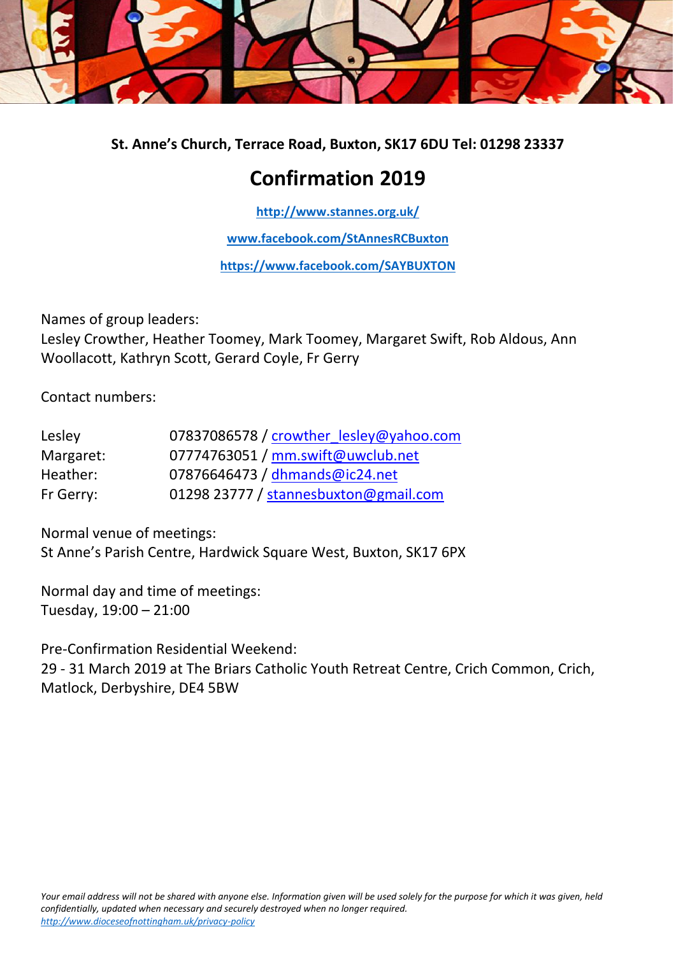

**St. Anne's Church, Terrace Road, Buxton, SK17 6DU Tel: 01298 23337**

## **Confirmation 2019**

**<http://www.stannes.org.uk/>**

**[www.facebook.com/StAnnesRCBuxton](https://www.facebook.com/StAnnesRCBuxton/)**

**[https://www.facebook.com/SAYBUXTON](https://www.facebook.com/SAYBUXTON/)**

Names of group leaders: Lesley Crowther, Heather Toomey, Mark Toomey, Margaret Swift, Rob Aldous, Ann Woollacott, Kathryn Scott, Gerard Coyle, Fr Gerry

Contact numbers:

| Lesley    | 07837086578 / crowther lesley@yahoo.com |  |  |
|-----------|-----------------------------------------|--|--|
| Margaret: | 07774763051 / mm.swift@uwclub.net       |  |  |
| Heather:  | 07876646473 / dhmands@ic24.net          |  |  |
| Fr Gerry: | 01298 23777 / stannesbuxton@gmail.com   |  |  |

Normal venue of meetings: St Anne's Parish Centre, Hardwick Square West, Buxton, SK17 6PX

Normal day and time of meetings: Tuesday, 19:00 – 21:00

Pre-Confirmation Residential Weekend:

29 - 31 March 2019 at The Briars Catholic Youth Retreat Centre, Crich Common, Crich, Matlock, Derbyshire, DE4 5BW